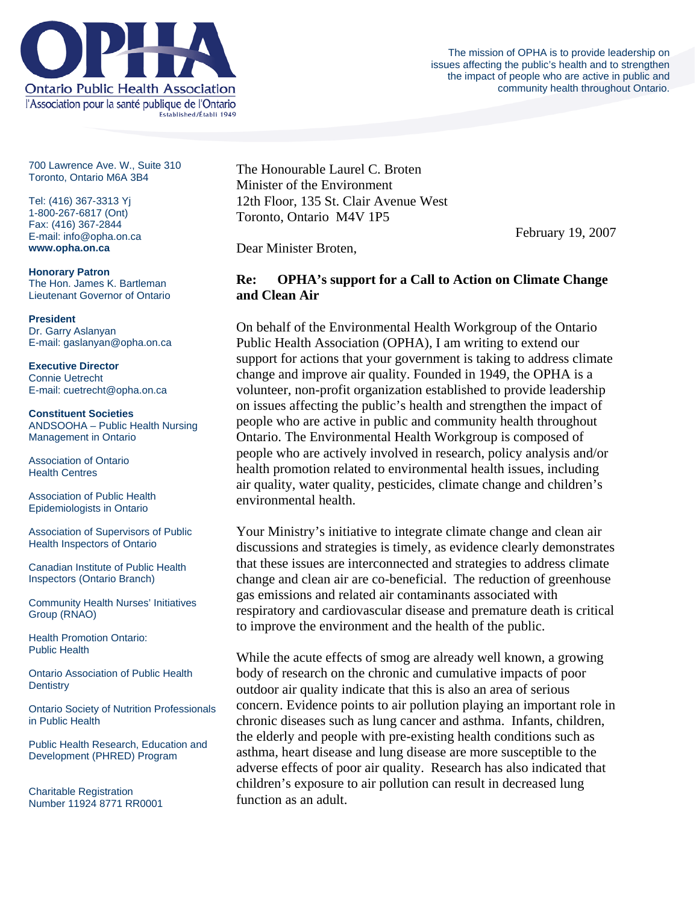

The mission of OPHA is to provide leadership on issues affecting the public's health and to strengthen the impact of people who are active in public and community health throughout Ontario.

700 Lawrence Ave. W., Suite 310 Toronto, Ontario M6A 3B4

Tel: (416) 367-3313 Yj 1-800-267-6817 (Ont) Fax: (416) 367-2844 E-mail: info@opha.on.ca **www.opha.on.ca** 

**Honorary Patron**  The Hon. James K. Bartleman Lieutenant Governor of Ontario

**President**  Dr. Garry Aslanyan E-mail: gaslanyan@opha.on.ca

**Executive Director**  Connie Uetrecht E-mail: cuetrecht@opha.on.ca

**Constituent Societies**  ANDSOOHA – Public Health Nursing Management in Ontario

Association of Ontario Health Centres

Association of Public Health Epidemiologists in Ontario

Association of Supervisors of Public Health Inspectors of Ontario

Canadian Institute of Public Health Inspectors (Ontario Branch)

Community Health Nurses' Initiatives Group (RNAO)

Health Promotion Ontario: Public Health

Ontario Association of Public Health **Dentistry** 

Ontario Society of Nutrition Professionals in Public Health

Public Health Research, Education and Development (PHRED) Program

Charitable Registration Number 11924 8771 RR0001 The Honourable Laurel C. Broten Minister of the Environment 12th Floor, 135 St. Clair Avenue West Toronto, Ontario M4V 1P5

February 19, 2007

Dear Minister Broten,

## **Re: OPHA's support for a Call to Action on Climate Change and Clean Air**

On behalf of the Environmental Health Workgroup of the Ontario Public Health Association (OPHA), I am writing to extend our support for actions that your government is taking to address climate change and improve air quality. Founded in 1949, the OPHA is a volunteer, non-profit organization established to provide leadership on issues affecting the public's health and strengthen the impact of people who are active in public and community health throughout Ontario. The Environmental Health Workgroup is composed of people who are actively involved in research, policy analysis and/or health promotion related to environmental health issues, including air quality, water quality, pesticides, climate change and children's environmental health.

Your Ministry's initiative to integrate climate change and clean air discussions and strategies is timely, as evidence clearly demonstrates that these issues are interconnected and strategies to address climate change and clean air are co-beneficial. The reduction of greenhouse gas emissions and related air contaminants associated with respiratory and cardiovascular disease and premature death is critical to improve the environment and the health of the public.

While the acute effects of smog are already well known, a growing body of research on the chronic and cumulative impacts of poor outdoor air quality indicate that this is also an area of serious concern. Evidence points to air pollution playing an important role in chronic diseases such as lung cancer and asthma. Infants, children, the elderly and people with pre-existing health conditions such as asthma, heart disease and lung disease are more susceptible to the adverse effects of poor air quality. Research has also indicated that children's exposure to air pollution can result in decreased lung function as an adult.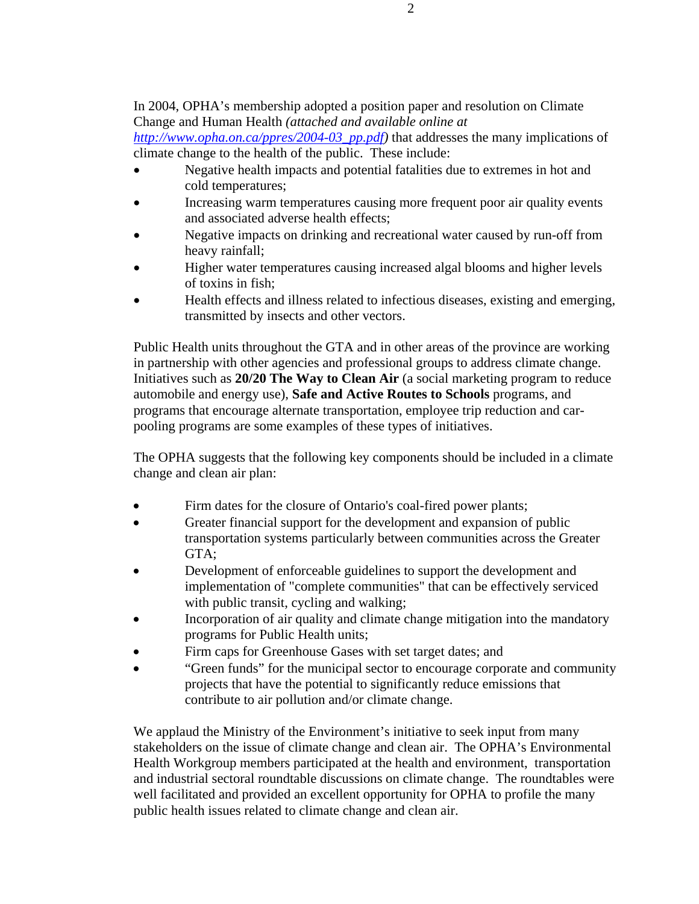## In 2004, OPHA's membership adopted a position paper and resolution on Climate Change and Human Health *(attached and available online at*

*http://www.opha.on.ca/ppres/2004-03\_pp.pdf)* that addresses the many implications of climate change to the health of the public. These include:

- Negative health impacts and potential fatalities due to extremes in hot and cold temperatures;
- Increasing warm temperatures causing more frequent poor air quality events and associated adverse health effects;
- Negative impacts on drinking and recreational water caused by run-off from heavy rainfall;
- Higher water temperatures causing increased algal blooms and higher levels of toxins in fish;
- Health effects and illness related to infectious diseases, existing and emerging, transmitted by insects and other vectors.

Public Health units throughout the GTA and in other areas of the province are working in partnership with other agencies and professional groups to address climate change. Initiatives such as **20/20 The Way to Clean Air** (a social marketing program to reduce automobile and energy use), **Safe and Active Routes to Schools** programs, and programs that encourage alternate transportation, employee trip reduction and carpooling programs are some examples of these types of initiatives.

The OPHA suggests that the following key components should be included in a climate change and clean air plan:

- Firm dates for the closure of Ontario's coal-fired power plants;
- Greater financial support for the development and expansion of public transportation systems particularly between communities across the Greater GTA;
- Development of enforceable guidelines to support the development and implementation of "complete communities" that can be effectively serviced with public transit, cycling and walking;
- Incorporation of air quality and climate change mitigation into the mandatory programs for Public Health units;
- Firm caps for Greenhouse Gases with set target dates; and
- "Green funds" for the municipal sector to encourage corporate and community projects that have the potential to significantly reduce emissions that contribute to air pollution and/or climate change.

We applaud the Ministry of the Environment's initiative to seek input from many stakeholders on the issue of climate change and clean air. The OPHA's Environmental Health Workgroup members participated at the health and environment, transportation and industrial sectoral roundtable discussions on climate change. The roundtables were well facilitated and provided an excellent opportunity for OPHA to profile the many public health issues related to climate change and clean air.